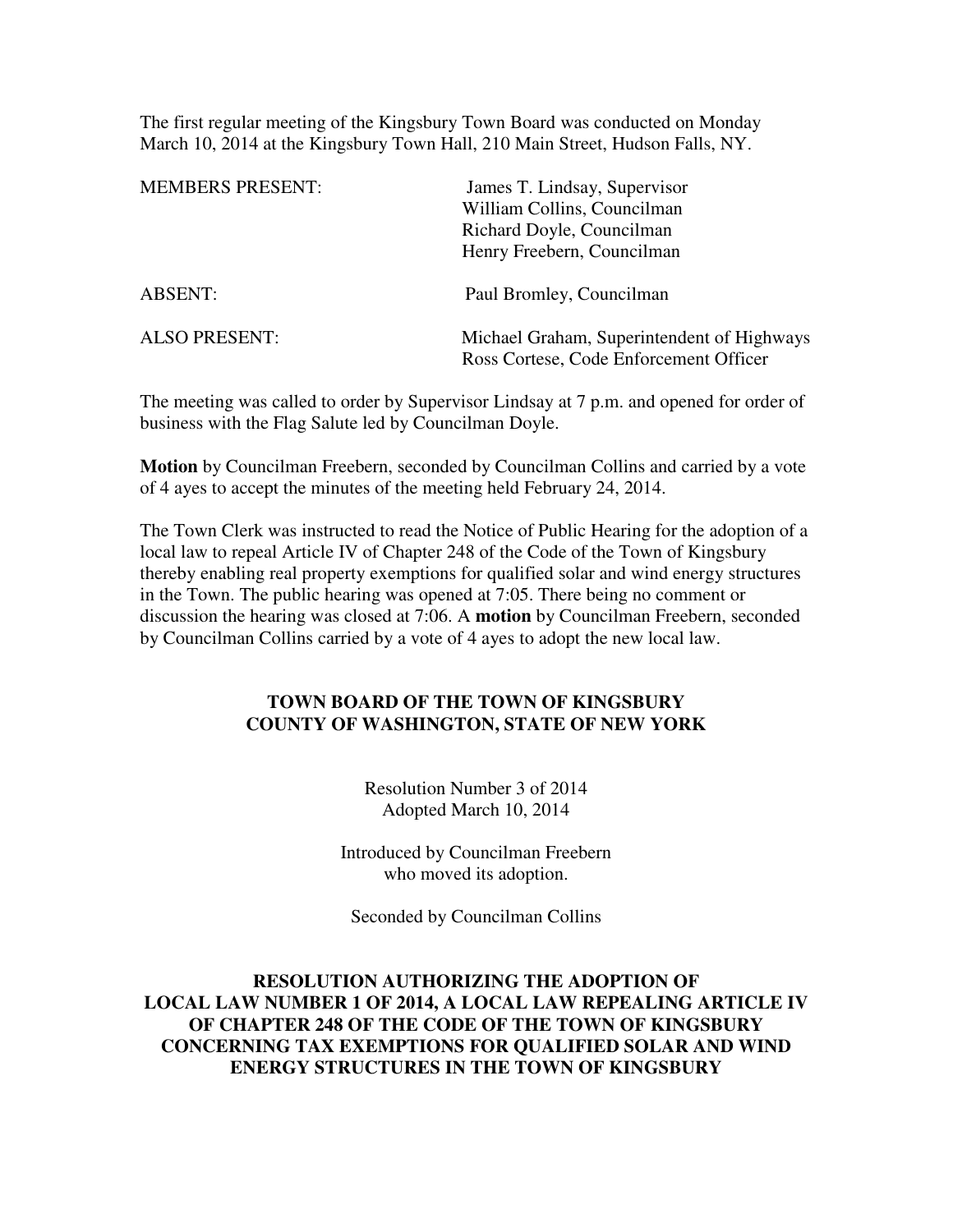The first regular meeting of the Kingsbury Town Board was conducted on Monday March 10, 2014 at the Kingsbury Town Hall, 210 Main Street, Hudson Falls, NY.

| <b>MEMBERS PRESENT:</b> | James T. Lindsay, Supervisor<br>William Collins, Councilman<br>Richard Doyle, Councilman<br>Henry Freebern, Councilman |
|-------------------------|------------------------------------------------------------------------------------------------------------------------|
| <b>ABSENT:</b>          | Paul Bromley, Councilman                                                                                               |
| <b>ALSO PRESENT:</b>    | Michael Graham, Superintendent of Highways<br>Ross Cortese, Code Enforcement Officer                                   |

The meeting was called to order by Supervisor Lindsay at 7 p.m. and opened for order of business with the Flag Salute led by Councilman Doyle.

**Motion** by Councilman Freebern, seconded by Councilman Collins and carried by a vote of 4 ayes to accept the minutes of the meeting held February 24, 2014.

The Town Clerk was instructed to read the Notice of Public Hearing for the adoption of a local law to repeal Article IV of Chapter 248 of the Code of the Town of Kingsbury thereby enabling real property exemptions for qualified solar and wind energy structures in the Town. The public hearing was opened at 7:05. There being no comment or discussion the hearing was closed at 7:06. A **motion** by Councilman Freebern, seconded by Councilman Collins carried by a vote of 4 ayes to adopt the new local law.

## **TOWN BOARD OF THE TOWN OF KINGSBURY COUNTY OF WASHINGTON, STATE OF NEW YORK**

Resolution Number 3 of 2014 Adopted March 10, 2014

Introduced by Councilman Freebern who moved its adoption.

Seconded by Councilman Collins

## **RESOLUTION AUTHORIZING THE ADOPTION OF LOCAL LAW NUMBER 1 OF 2014, A LOCAL LAW REPEALING ARTICLE IV OF CHAPTER 248 OF THE CODE OF THE TOWN OF KINGSBURY CONCERNING TAX EXEMPTIONS FOR QUALIFIED SOLAR AND WIND ENERGY STRUCTURES IN THE TOWN OF KINGSBURY**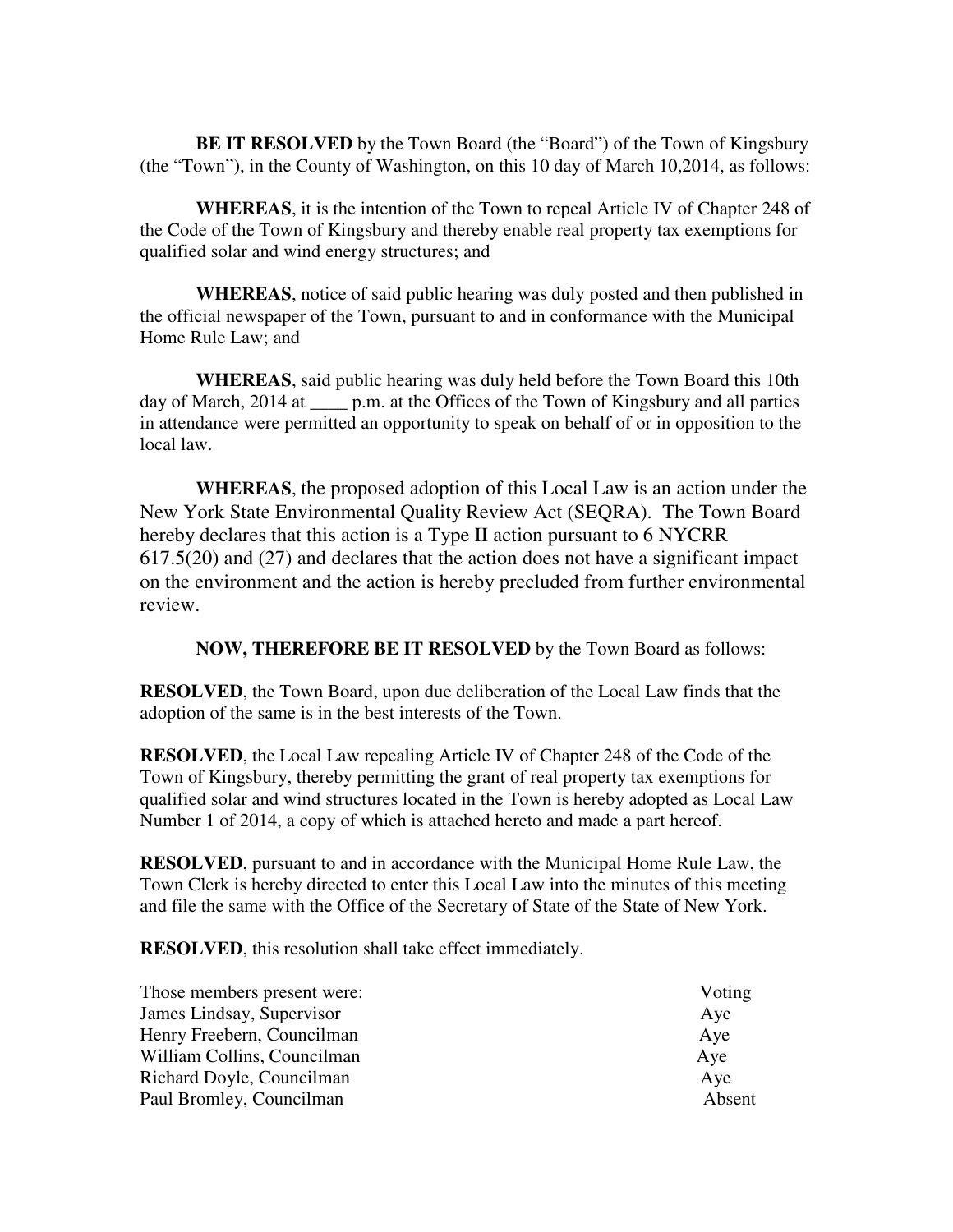**BE IT RESOLVED** by the Town Board (the "Board") of the Town of Kingsbury (the "Town"), in the County of Washington, on this 10 day of March 10,2014, as follows:

**WHEREAS**, it is the intention of the Town to repeal Article IV of Chapter 248 of the Code of the Town of Kingsbury and thereby enable real property tax exemptions for qualified solar and wind energy structures; and

**WHEREAS**, notice of said public hearing was duly posted and then published in the official newspaper of the Town, pursuant to and in conformance with the Municipal Home Rule Law; and

**WHEREAS**, said public hearing was duly held before the Town Board this 10th day of March, 2014 at \_\_\_\_\_ p.m. at the Offices of the Town of Kingsbury and all parties in attendance were permitted an opportunity to speak on behalf of or in opposition to the local law.

**WHEREAS**, the proposed adoption of this Local Law is an action under the New York State Environmental Quality Review Act (SEQRA). The Town Board hereby declares that this action is a Type II action pursuant to 6 NYCRR 617.5(20) and (27) and declares that the action does not have a significant impact on the environment and the action is hereby precluded from further environmental review.

**NOW, THEREFORE BE IT RESOLVED** by the Town Board as follows:

**RESOLVED**, the Town Board, upon due deliberation of the Local Law finds that the adoption of the same is in the best interests of the Town.

**RESOLVED**, the Local Law repealing Article IV of Chapter 248 of the Code of the Town of Kingsbury, thereby permitting the grant of real property tax exemptions for qualified solar and wind structures located in the Town is hereby adopted as Local Law Number 1 of 2014, a copy of which is attached hereto and made a part hereof.

**RESOLVED**, pursuant to and in accordance with the Municipal Home Rule Law, the Town Clerk is hereby directed to enter this Local Law into the minutes of this meeting and file the same with the Office of the Secretary of State of the State of New York.

**RESOLVED**, this resolution shall take effect immediately.

| Those members present were: | Voting |
|-----------------------------|--------|
| James Lindsay, Supervisor   | Aye    |
| Henry Freebern, Councilman  | Aye    |
| William Collins, Councilman | Aye    |
| Richard Doyle, Councilman   | Aye    |
| Paul Bromley, Councilman    | Absent |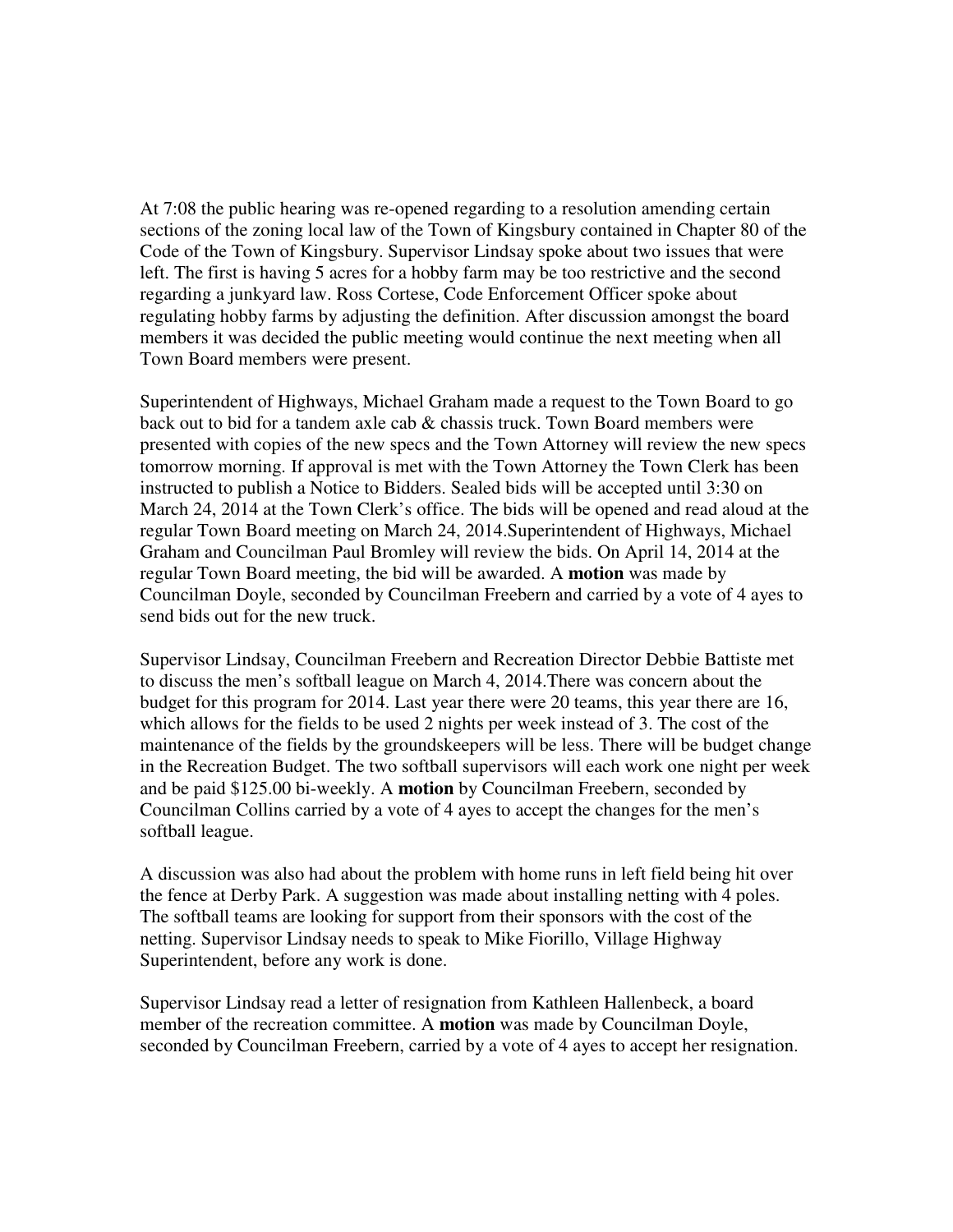At 7:08 the public hearing was re-opened regarding to a resolution amending certain sections of the zoning local law of the Town of Kingsbury contained in Chapter 80 of the Code of the Town of Kingsbury. Supervisor Lindsay spoke about two issues that were left. The first is having 5 acres for a hobby farm may be too restrictive and the second regarding a junkyard law. Ross Cortese, Code Enforcement Officer spoke about regulating hobby farms by adjusting the definition. After discussion amongst the board members it was decided the public meeting would continue the next meeting when all Town Board members were present.

Superintendent of Highways, Michael Graham made a request to the Town Board to go back out to bid for a tandem axle cab & chassis truck. Town Board members were presented with copies of the new specs and the Town Attorney will review the new specs tomorrow morning. If approval is met with the Town Attorney the Town Clerk has been instructed to publish a Notice to Bidders. Sealed bids will be accepted until 3:30 on March 24, 2014 at the Town Clerk's office. The bids will be opened and read aloud at the regular Town Board meeting on March 24, 2014.Superintendent of Highways, Michael Graham and Councilman Paul Bromley will review the bids. On April 14, 2014 at the regular Town Board meeting, the bid will be awarded. A **motion** was made by Councilman Doyle, seconded by Councilman Freebern and carried by a vote of 4 ayes to send bids out for the new truck.

Supervisor Lindsay, Councilman Freebern and Recreation Director Debbie Battiste met to discuss the men's softball league on March 4, 2014.There was concern about the budget for this program for 2014. Last year there were 20 teams, this year there are 16, which allows for the fields to be used 2 nights per week instead of 3. The cost of the maintenance of the fields by the groundskeepers will be less. There will be budget change in the Recreation Budget. The two softball supervisors will each work one night per week and be paid \$125.00 bi-weekly. A **motion** by Councilman Freebern, seconded by Councilman Collins carried by a vote of 4 ayes to accept the changes for the men's softball league.

A discussion was also had about the problem with home runs in left field being hit over the fence at Derby Park. A suggestion was made about installing netting with 4 poles. The softball teams are looking for support from their sponsors with the cost of the netting. Supervisor Lindsay needs to speak to Mike Fiorillo, Village Highway Superintendent, before any work is done.

Supervisor Lindsay read a letter of resignation from Kathleen Hallenbeck, a board member of the recreation committee. A **motion** was made by Councilman Doyle, seconded by Councilman Freebern, carried by a vote of 4 ayes to accept her resignation.